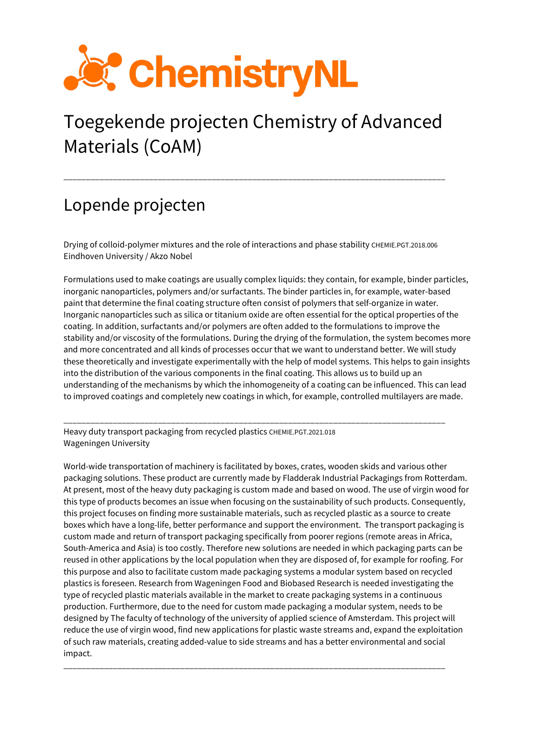

# Toegekende projecten Chemistry of Advanced Materials (CoAM)

\_\_\_\_\_\_\_\_\_\_\_\_\_\_\_\_\_\_\_\_\_\_\_\_\_\_\_\_\_\_\_\_\_\_\_\_\_\_\_\_\_\_\_\_\_\_\_\_\_\_\_\_\_\_\_\_\_\_\_\_\_\_\_\_\_\_\_\_\_\_\_\_\_\_\_\_\_\_\_\_\_\_\_\_\_

## Lopende projecten

Drying of colloid-polymer mixtures and the role of interactions and phase stability CHEMIE.PGT.2018.006 Eindhoven University / Akzo Nobel

Formulations used to make coatings are usually complex liquids: they contain, for example, binder particles, inorganic nanoparticles, polymers and/or surfactants. The binder particles in, for example, water-based paint that determine the final coating structure often consist of polymers that self-organize in water. Inorganic nanoparticles such as silica or titanium oxide are often essential for the optical properties of the coating. In addition, surfactants and/or polymers are often added to the formulations to improve the stability and/or viscosity of the formulations. During the drying of the formulation, the system becomes more and more concentrated and all kinds of processes occur that we want to understand better. We will study these theoretically and investigate experimentally with the help of model systems. This helps to gain insights into the distribution of the various components in the final coating. This allows us to build up an understanding of the mechanisms by which the inhomogeneity of a coating can be influenced. This can lead to improved coatings and completely new coatings in which, for example, controlled multilayers are made.

\_\_\_\_\_\_\_\_\_\_\_\_\_\_\_\_\_\_\_\_\_\_\_\_\_\_\_\_\_\_\_\_\_\_\_\_\_\_\_\_\_\_\_\_\_\_\_\_\_\_\_\_\_\_\_\_\_\_\_\_\_\_\_\_\_\_\_\_\_\_\_\_\_\_\_\_\_\_\_\_\_\_\_\_\_ Heavy duty transport packaging from recycled plastics CHEMIE.PGT.2021.018 Wageningen University

World-wide transportation of machinery is facilitated by boxes, crates, wooden skids and various other packaging solutions. These product are currently made by Fladderak Industrial Packagings from Rotterdam. At present, most of the heavy duty packaging is custom made and based on wood. The use of virgin wood for this type of products becomes an issue when focusing on the sustainability of such products. Consequently, this project focuses on finding more sustainable materials, such as recycled plastic as a source to create boxes which have a long-life, better performance and support the environment. The transport packaging is custom made and return of transport packaging specifically from poorer regions (remote areas in Africa, South-America and Asia) is too costly. Therefore new solutions are needed in which packaging parts can be reused in other applications by the local population when they are disposed of, for example for roofing. For this purpose and also to facilitate custom made packaging systems a modular system based on recycled plastics is foreseen. Research from Wageningen Food and Biobased Research is needed investigating the type of recycled plastic materials available in the market to create packaging systems in a continuous production. Furthermore, due to the need for custom made packaging a modular system, needs to be designed by The faculty of technology of the university of applied science of Amsterdam. This project will reduce the use of virgin wood, find new applications for plastic waste streams and, expand the exploitation of such raw materials, creating added-value to side streams and has a better environmental and social impact.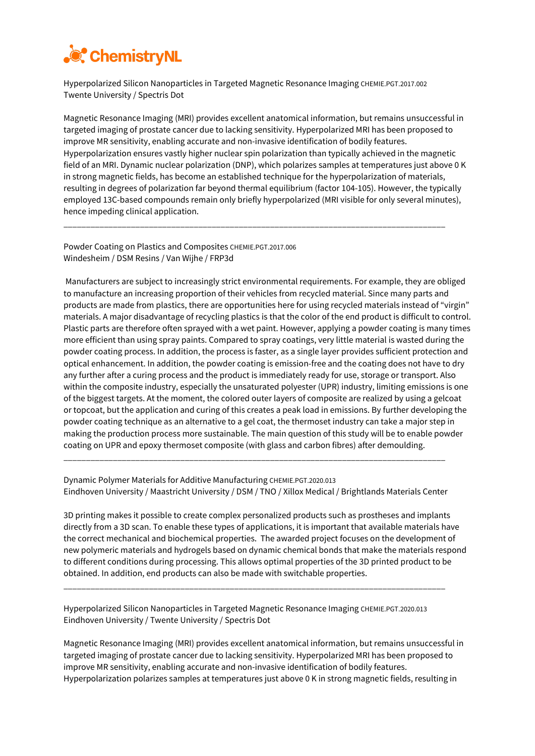

Hyperpolarized Silicon Nanoparticles in Targeted Magnetic Resonance Imaging CHEMIE.PGT.2017.002 Twente University / Spectris Dot

Magnetic Resonance Imaging (MRI) provides excellent anatomical information, but remains unsuccessful in targeted imaging of prostate cancer due to lacking sensitivity. Hyperpolarized MRI has been proposed to improve MR sensitivity, enabling accurate and non-invasive identification of bodily features. Hyperpolarization ensures vastly higher nuclear spin polarization than typically achieved in the magnetic field of an MRI. Dynamic nuclear polarization (DNP), which polarizes samples at temperatures just above 0 K in strong magnetic fields, has become an established technique for the hyperpolarization of materials, resulting in degrees of polarization far beyond thermal equilibrium (factor 104-105). However, the typically employed 13C-based compounds remain only briefly hyperpolarized (MRI visible for only several minutes), hence impeding clinical application.

\_\_\_\_\_\_\_\_\_\_\_\_\_\_\_\_\_\_\_\_\_\_\_\_\_\_\_\_\_\_\_\_\_\_\_\_\_\_\_\_\_\_\_\_\_\_\_\_\_\_\_\_\_\_\_\_\_\_\_\_\_\_\_\_\_\_\_\_\_\_\_\_\_\_\_\_\_\_\_\_\_\_\_\_\_

Powder Coating on Plastics and Composites CHEMIE.PGT.2017.006 Windesheim / DSM Resins / Van Wijhe / FRP3d

Manufacturers are subject to increasingly strict environmental requirements. For example, they are obliged to manufacture an increasing proportion of their vehicles from recycled material. Since many parts and products are made from plastics, there are opportunities here for using recycled materials instead of "virgin" materials. A major disadvantage of recycling plastics is that the color of the end product is difficult to control. Plastic parts are therefore often sprayed with a wet paint. However, applying a powder coating is many times more efficient than using spray paints. Compared to spray coatings, very little material is wasted during the powder coating process. In addition, the process is faster, as a single layer provides sufficient protection and optical enhancement. In addition, the powder coating is emission-free and the coating does not have to dry any further after a curing process and the product is immediately ready for use, storage or transport. Also within the composite industry, especially the unsaturated polyester (UPR) industry, limiting emissions is one of the biggest targets. At the moment, the colored outer layers of composite are realized by using a gelcoat or topcoat, but the application and curing of this creates a peak load in emissions. By further developing the powder coating technique as an alternative to a gel coat, the thermoset industry can take a major step in making the production process more sustainable. The main question of this study will be to enable powder coating on UPR and epoxy thermoset composite (with glass and carbon fibres) after demoulding.

Dynamic Polymer Materials for Additive Manufacturing CHEMIE.PGT.2020.013 Eindhoven University / Maastricht University / DSM / TNO / Xillox Medical / Brightlands Materials Center

\_\_\_\_\_\_\_\_\_\_\_\_\_\_\_\_\_\_\_\_\_\_\_\_\_\_\_\_\_\_\_\_\_\_\_\_\_\_\_\_\_\_\_\_\_\_\_\_\_\_\_\_\_\_\_\_\_\_\_\_\_\_\_\_\_\_\_\_\_\_\_\_\_\_\_\_\_\_\_\_\_\_\_\_\_

3D printing makes it possible to create complex personalized products such as prostheses and implants directly from a 3D scan. To enable these types of applications, it is important that available materials have the correct mechanical and biochemical properties. The awarded project focuses on the development of new polymeric materials and hydrogels based on dynamic chemical bonds that make the materials respond to different conditions during processing. This allows optimal properties of the 3D printed product to be obtained. In addition, end products can also be made with switchable properties.

Hyperpolarized Silicon Nanoparticles in Targeted Magnetic Resonance Imaging CHEMIE.PGT.2020.013 Eindhoven University / Twente University / Spectris Dot

\_\_\_\_\_\_\_\_\_\_\_\_\_\_\_\_\_\_\_\_\_\_\_\_\_\_\_\_\_\_\_\_\_\_\_\_\_\_\_\_\_\_\_\_\_\_\_\_\_\_\_\_\_\_\_\_\_\_\_\_\_\_\_\_\_\_\_\_\_\_\_\_\_\_\_\_\_\_\_\_\_\_\_\_\_

Magnetic Resonance Imaging (MRI) provides excellent anatomical information, but remains unsuccessful in targeted imaging of prostate cancer due to lacking sensitivity. Hyperpolarized MRI has been proposed to improve MR sensitivity, enabling accurate and non-invasive identification of bodily features. Hyperpolarization polarizes samples at temperatures just above 0 K in strong magnetic fields, resulting in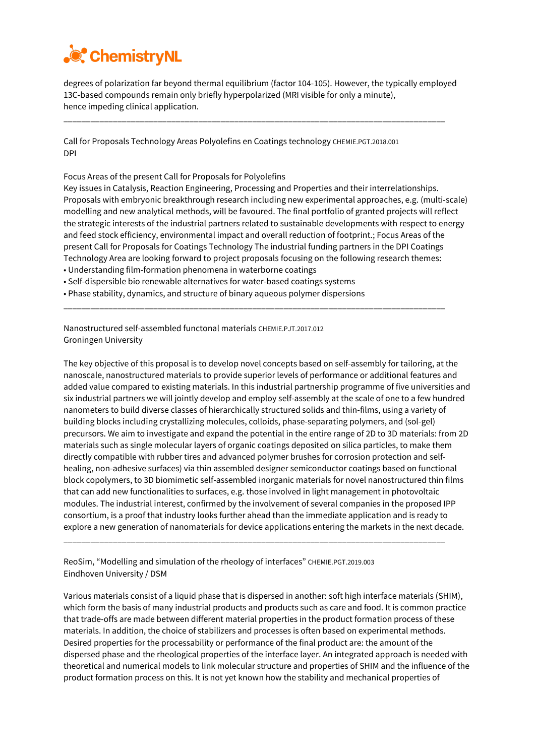

degrees of polarization far beyond thermal equilibrium (factor 104-105). However, the typically employed 13C-based compounds remain only briefly hyperpolarized (MRI visible for only a minute), hence impeding clinical application.

\_\_\_\_\_\_\_\_\_\_\_\_\_\_\_\_\_\_\_\_\_\_\_\_\_\_\_\_\_\_\_\_\_\_\_\_\_\_\_\_\_\_\_\_\_\_\_\_\_\_\_\_\_\_\_\_\_\_\_\_\_\_\_\_\_\_\_\_\_\_\_\_\_\_\_\_\_\_\_\_\_\_\_\_\_

Call for Proposals Technology Areas Polyolefins en Coatings technology CHEMIE.PGT.2018.001 DPI

Focus Areas of the present Call for Proposals for Polyolefins

Key issues in Catalysis, Reaction Engineering, Processing and Properties and their interrelationships. Proposals with embryonic breakthrough research including new experimental approaches, e.g. (multi-scale) modelling and new analytical methods, will be favoured. The final portfolio of granted projects will reflect the strategic interests of the industrial partners related to sustainable developments with respect to energy and feed stock efficiency, environmental impact and overall reduction of footprint.; Focus Areas of the present Call for Proposals for Coatings Technology The industrial funding partners in the DPI Coatings Technology Area are looking forward to project proposals focusing on the following research themes:

\_\_\_\_\_\_\_\_\_\_\_\_\_\_\_\_\_\_\_\_\_\_\_\_\_\_\_\_\_\_\_\_\_\_\_\_\_\_\_\_\_\_\_\_\_\_\_\_\_\_\_\_\_\_\_\_\_\_\_\_\_\_\_\_\_\_\_\_\_\_\_\_\_\_\_\_\_\_\_\_\_\_\_\_\_

- Understanding film-formation phenomena in waterborne coatings
- Self-dispersible bio renewable alternatives for water-based coatings systems
- Phase stability, dynamics, and structure of binary aqueous polymer dispersions

Nanostructured self-assembled functonal materials CHEMIE.PJT.2017.012 Groningen University

The key objective of this proposal is to develop novel concepts based on self-assembly for tailoring, at the nanoscale, nanostructured materials to provide superior levels of performance or additional features and added value compared to existing materials. In this industrial partnership programme of five universities and six industrial partners we will jointly develop and employ self-assembly at the scale of one to a few hundred nanometers to build diverse classes of hierarchically structured solids and thin-films, using a variety of building blocks including crystallizing molecules, colloids, phase-separating polymers, and (sol-gel) precursors. We aim to investigate and expand the potential in the entire range of 2D to 3D materials: from 2D materials such as single molecular layers of organic coatings deposited on silica particles, to make them directly compatible with rubber tires and advanced polymer brushes for corrosion protection and selfhealing, non-adhesive surfaces) via thin assembled designer semiconductor coatings based on functional block copolymers, to 3D biomimetic self-assembled inorganic materials for novel nanostructured thin films that can add new functionalities to surfaces, e.g. those involved in light management in photovoltaic modules. The industrial interest, confirmed by the involvement of several companies in the proposed IPP consortium, is a proof that industry looks further ahead than the immediate application and is ready to explore a new generation of nanomaterials for device applications entering the markets in the next decade.

\_\_\_\_\_\_\_\_\_\_\_\_\_\_\_\_\_\_\_\_\_\_\_\_\_\_\_\_\_\_\_\_\_\_\_\_\_\_\_\_\_\_\_\_\_\_\_\_\_\_\_\_\_\_\_\_\_\_\_\_\_\_\_\_\_\_\_\_\_\_\_\_\_\_\_\_\_\_\_\_\_\_\_\_\_

ReoSim, "Modelling and simulation of the rheology of interfaces" CHEMIE.PGT.2019.003 Eindhoven University / DSM

Various materials consist of a liquid phase that is dispersed in another: soft high interface materials (SHIM), which form the basis of many industrial products and products such as care and food. It is common practice that trade-offs are made between different material properties in the product formation process of these materials. In addition, the choice of stabilizers and processes is often based on experimental methods. Desired properties for the processability or performance of the final product are: the amount of the dispersed phase and the rheological properties of the interface layer. An integrated approach is needed with theoretical and numerical models to link molecular structure and properties of SHIM and the influence of the product formation process on this. It is not yet known how the stability and mechanical properties of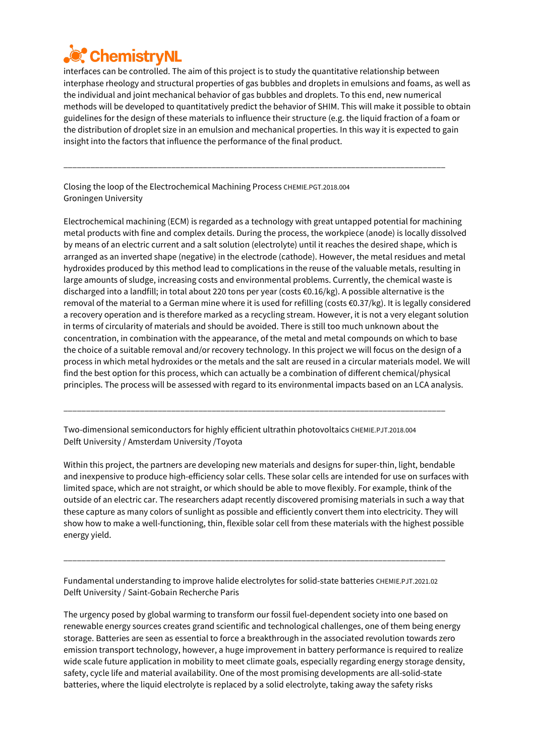

interfaces can be controlled. The aim of this project is to study the quantitative relationship between interphase rheology and structural properties of gas bubbles and droplets in emulsions and foams, as well as the individual and joint mechanical behavior of gas bubbles and droplets. To this end, new numerical methods will be developed to quantitatively predict the behavior of SHIM. This will make it possible to obtain guidelines for the design of these materials to influence their structure (e.g. the liquid fraction of a foam or the distribution of droplet size in an emulsion and mechanical properties. In this way it is expected to gain insight into the factors that influence the performance of the final product.

\_\_\_\_\_\_\_\_\_\_\_\_\_\_\_\_\_\_\_\_\_\_\_\_\_\_\_\_\_\_\_\_\_\_\_\_\_\_\_\_\_\_\_\_\_\_\_\_\_\_\_\_\_\_\_\_\_\_\_\_\_\_\_\_\_\_\_\_\_\_\_\_\_\_\_\_\_\_\_\_\_\_\_\_\_

Closing the loop of the Electrochemical Machining Process CHEMIE.PGT.2018.004 Groningen University

Electrochemical machining (ECM) is regarded as a technology with great untapped potential for machining metal products with fine and complex details. During the process, the workpiece (anode) is locally dissolved by means of an electric current and a salt solution (electrolyte) until it reaches the desired shape, which is arranged as an inverted shape (negative) in the electrode (cathode). However, the metal residues and metal hydroxides produced by this method lead to complications in the reuse of the valuable metals, resulting in large amounts of sludge, increasing costs and environmental problems. Currently, the chemical waste is discharged into a landfill; in total about 220 tons per year (costs €0.16/kg). A possible alternative is the removal of the material to a German mine where it is used for refilling (costs  $\epsilon$ 0.37/kg). It is legally considered a recovery operation and is therefore marked as a recycling stream. However, it is not a very elegant solution in terms of circularity of materials and should be avoided. There is still too much unknown about the concentration, in combination with the appearance, of the metal and metal compounds on which to base the choice of a suitable removal and/or recovery technology. In this project we will focus on the design of a process in which metal hydroxides or the metals and the salt are reused in a circular materials model. We will find the best option for this process, which can actually be a combination of different chemical/physical principles. The process will be assessed with regard to its environmental impacts based on an LCA analysis.

Two-dimensional semiconductors for highly efficient ultrathin photovoltaics CHEMIE.PJT.2018.004 Delft University / Amsterdam University /Toyota

\_\_\_\_\_\_\_\_\_\_\_\_\_\_\_\_\_\_\_\_\_\_\_\_\_\_\_\_\_\_\_\_\_\_\_\_\_\_\_\_\_\_\_\_\_\_\_\_\_\_\_\_\_\_\_\_\_\_\_\_\_\_\_\_\_\_\_\_\_\_\_\_\_\_\_\_\_\_\_\_\_\_\_\_\_

Within this project, the partners are developing new materials and designs for super-thin, light, bendable and inexpensive to produce high-efficiency solar cells. These solar cells are intended for use on surfaces with limited space, which are not straight, or which should be able to move flexibly. For example, think of the outside of an electric car. The researchers adapt recently discovered promising materials in such a way that these capture as many colors of sunlight as possible and efficiently convert them into electricity. They will show how to make a well-functioning, thin, flexible solar cell from these materials with the highest possible energy yield.

Fundamental understanding to improve halide electrolytes for solid-state batteries CHEMIE.PJT.2021.02 Delft University / Saint-Gobain Recherche Paris

\_\_\_\_\_\_\_\_\_\_\_\_\_\_\_\_\_\_\_\_\_\_\_\_\_\_\_\_\_\_\_\_\_\_\_\_\_\_\_\_\_\_\_\_\_\_\_\_\_\_\_\_\_\_\_\_\_\_\_\_\_\_\_\_\_\_\_\_\_\_\_\_\_\_\_\_\_\_\_\_\_\_\_\_\_

The urgency posed by global warming to transform our fossil fuel-dependent society into one based on renewable energy sources creates grand scientific and technological challenges, one of them being energy storage. Batteries are seen as essential to force a breakthrough in the associated revolution towards zero emission transport technology, however, a huge improvement in battery performance is required to realize wide scale future application in mobility to meet climate goals, especially regarding energy storage density, safety, cycle life and material availability. One of the most promising developments are all-solid-state batteries, where the liquid electrolyte is replaced by a solid electrolyte, taking away the safety risks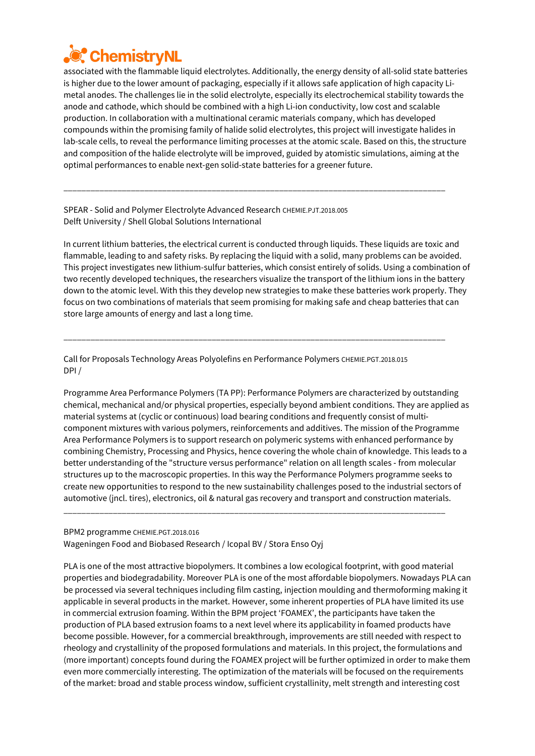

associated with the flammable liquid electrolytes. Additionally, the energy density of all-solid state batteries is higher due to the lower amount of packaging, especially if it allows safe application of high capacity Limetal anodes. The challenges lie in the solid electrolyte, especially its electrochemical stability towards the anode and cathode, which should be combined with a high Li-ion conductivity, low cost and scalable production. In collaboration with a multinational ceramic materials company, which has developed compounds within the promising family of halide solid electrolytes, this project will investigate halides in lab-scale cells, to reveal the performance limiting processes at the atomic scale. Based on this, the structure and composition of the halide electrolyte will be improved, guided by atomistic simulations, aiming at the optimal performances to enable next-gen solid-state batteries for a greener future.

\_\_\_\_\_\_\_\_\_\_\_\_\_\_\_\_\_\_\_\_\_\_\_\_\_\_\_\_\_\_\_\_\_\_\_\_\_\_\_\_\_\_\_\_\_\_\_\_\_\_\_\_\_\_\_\_\_\_\_\_\_\_\_\_\_\_\_\_\_\_\_\_\_\_\_\_\_\_\_\_\_\_\_\_\_

SPEAR - Solid and Polymer Electrolyte Advanced Research CHEMIE.PJT.2018.005 Delft University / Shell Global Solutions International

In current lithium batteries, the electrical current is conducted through liquids. These liquids are toxic and flammable, leading to and safety risks. By replacing the liquid with a solid, many problems can be avoided. This project investigates new lithium-sulfur batteries, which consist entirely of solids. Using a combination of two recently developed techniques, the researchers visualize the transport of the lithium ions in the battery down to the atomic level. With this they develop new strategies to make these batteries work properly. They focus on two combinations of materials that seem promising for making safe and cheap batteries that can store large amounts of energy and last a long time.

Call for Proposals Technology Areas Polyolefins en Performance Polymers CHEMIE.PGT.2018.015 DPI /

\_\_\_\_\_\_\_\_\_\_\_\_\_\_\_\_\_\_\_\_\_\_\_\_\_\_\_\_\_\_\_\_\_\_\_\_\_\_\_\_\_\_\_\_\_\_\_\_\_\_\_\_\_\_\_\_\_\_\_\_\_\_\_\_\_\_\_\_\_\_\_\_\_\_\_\_\_\_\_\_\_\_\_\_\_

Programme Area Performance Polymers (TA PP): Performance Polymers are characterized by outstanding chemical, mechanical and/or physical properties, especially beyond ambient conditions. They are applied as material systems at (cyclic or continuous) load bearing conditions and frequently consist of multicomponent mixtures with various polymers, reinforcements and additives. The mission of the Programme Area Performance Polymers is to support research on polymeric systems with enhanced performance by combining Chemistry, Processing and Physics, hence covering the whole chain of knowledge. This leads to a better understanding of the "structure versus performance" relation on all length scales ‐ from molecular structures up to the macroscopic properties. In this way the Performance Polymers programme seeks to create new opportunities to respond to the new sustainability challenges posed to the industrial sectors of automotive (jncl. tires), electronics, oil & natural gas recovery and transport and construction materials.

\_\_\_\_\_\_\_\_\_\_\_\_\_\_\_\_\_\_\_\_\_\_\_\_\_\_\_\_\_\_\_\_\_\_\_\_\_\_\_\_\_\_\_\_\_\_\_\_\_\_\_\_\_\_\_\_\_\_\_\_\_\_\_\_\_\_\_\_\_\_\_\_\_\_\_\_\_\_\_\_\_\_\_\_\_

#### BPM2 programme CHEMIE.PGT.2018.016 Wageningen Food and Biobased Research / Icopal BV / Stora Enso Oyj

PLA is one of the most attractive biopolymers. It combines a low ecological footprint, with good material properties and biodegradability. Moreover PLA is one of the most affordable biopolymers. Nowadays PLA can be processed via several techniques including film casting, injection moulding and thermoforming making it applicable in several products in the market. However, some inherent properties of PLA have limited its use in commercial extrusion foaming. Within the BPM project 'FOAMEX', the participants have taken the production of PLA based extrusion foams to a next level where its applicability in foamed products have become possible. However, for a commercial breakthrough, improvements are still needed with respect to rheology and crystallinity of the proposed formulations and materials. In this project, the formulations and (more important) concepts found during the FOAMEX project will be further optimized in order to make them even more commercially interesting. The optimization of the materials will be focused on the requirements of the market: broad and stable process window, sufficient crystallinity, melt strength and interesting cost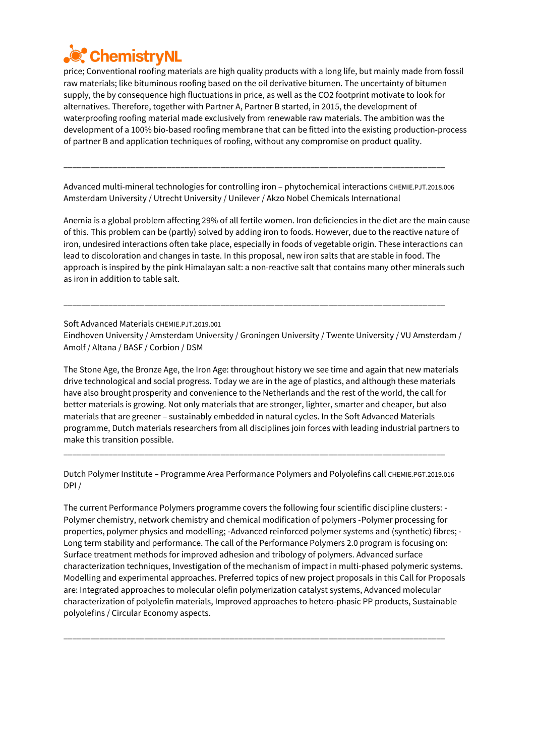

price; Conventional roofing materials are high quality products with a long life, but mainly made from fossil raw materials; like bituminous roofing based on the oil derivative bitumen. The uncertainty of bitumen supply, the by consequence high fluctuations in price, as well as the CO2 footprint motivate to look for alternatives. Therefore, together with Partner A, Partner B started, in 2015, the development of waterproofing roofing material made exclusively from renewable raw materials. The ambition was the development of a 100% bio-based roofing membrane that can be fitted into the existing production-process of partner B and application techniques of roofing, without any compromise on product quality.

Advanced multi-mineral technologies for controlling iron - phytochemical interactions CHEMIE.PJT.2018.006 Amsterdam University / Utrecht University / Unilever / Akzo Nobel Chemicals International

\_\_\_\_\_\_\_\_\_\_\_\_\_\_\_\_\_\_\_\_\_\_\_\_\_\_\_\_\_\_\_\_\_\_\_\_\_\_\_\_\_\_\_\_\_\_\_\_\_\_\_\_\_\_\_\_\_\_\_\_\_\_\_\_\_\_\_\_\_\_\_\_\_\_\_\_\_\_\_\_\_\_\_\_\_

Anemia is a global problem affecting 29% of all fertile women. Iron deficiencies in the diet are the main cause of this. This problem can be (partly) solved by adding iron to foods. However, due to the reactive nature of iron, undesired interactions often take place, especially in foods of vegetable origin. These interactions can lead to discoloration and changes in taste. In this proposal, new iron salts that are stable in food. The approach is inspired by the pink Himalayan salt: a non-reactive salt that contains many other minerals such as iron in addition to table salt.

Soft Advanced Materials CHEMIE.PJT.2019.001 Eindhoven University / Amsterdam University / Groningen University / Twente University / VU Amsterdam / Amolf / Altana / BASF / Corbion / DSM

\_\_\_\_\_\_\_\_\_\_\_\_\_\_\_\_\_\_\_\_\_\_\_\_\_\_\_\_\_\_\_\_\_\_\_\_\_\_\_\_\_\_\_\_\_\_\_\_\_\_\_\_\_\_\_\_\_\_\_\_\_\_\_\_\_\_\_\_\_\_\_\_\_\_\_\_\_\_\_\_\_\_\_\_\_

The Stone Age, the Bronze Age, the Iron Age: throughout history we see time and again that new materials drive technological and social progress. Today we are in the age of plastics, and although these materials have also brought prosperity and convenience to the Netherlands and the rest of the world, the call for better materials is growing. Not only materials that are stronger, lighter, smarter and cheaper, but also materials that are greener – sustainably embedded in natural cycles. In the Soft Advanced Materials programme, Dutch materials researchers from all disciplines join forces with leading industrial partners to make this transition possible.

Dutch Polymer Institute – Programme Area Performance Polymers and Polyolefins call CHEMIE.PGT.2019.016 DPI /

\_\_\_\_\_\_\_\_\_\_\_\_\_\_\_\_\_\_\_\_\_\_\_\_\_\_\_\_\_\_\_\_\_\_\_\_\_\_\_\_\_\_\_\_\_\_\_\_\_\_\_\_\_\_\_\_\_\_\_\_\_\_\_\_\_\_\_\_\_\_\_\_\_\_\_\_\_\_\_\_\_\_\_\_\_

The current Performance Polymers programme covers the following four scientific discipline clusters: ‐ Polymer chemistry, network chemistry and chemical modification of polymers ‐Polymer processing for properties, polymer physics and modelling; ‐Advanced reinforced polymer systems and (synthetic) fibres; ‐ Long term stability and performance. The call of the Performance Polymers 2.0 program is focusing on: Surface treatment methods for improved adhesion and tribology of polymers. Advanced surface characterization techniques, Investigation of the mechanism of impact in multi-phased polymeric systems. Modelling and experimental approaches. Preferred topics of new project proposals in this Call for Proposals are: Integrated approaches to molecular olefin polymerization catalyst systems, Advanced molecular characterization of polyolefin materials, Improved approaches to hetero-phasic PP products, Sustainable polyolefins / Circular Economy aspects.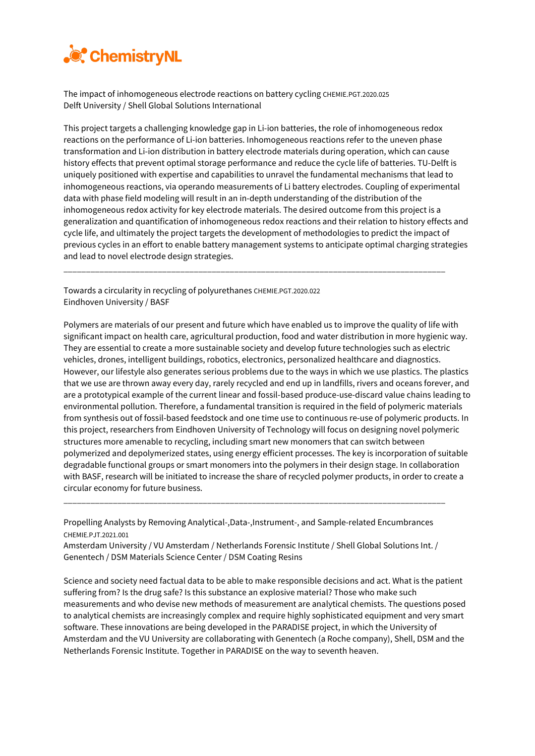

The impact of inhomogeneous electrode reactions on battery cycling CHEMIE.PGT.2020.025 Delft University / Shell Global Solutions International

This project targets a challenging knowledge gap in Li-ion batteries, the role of inhomogeneous redox reactions on the performance of Li-ion batteries. Inhomogeneous reactions refer to the uneven phase transformation and Li-ion distribution in battery electrode materials during operation, which can cause history effects that prevent optimal storage performance and reduce the cycle life of batteries. TU-Delft is uniquely positioned with expertise and capabilities to unravel the fundamental mechanisms that lead to inhomogeneous reactions, via operando measurements of Li battery electrodes. Coupling of experimental data with phase field modeling will result in an in-depth understanding of the distribution of the inhomogeneous redox activity for key electrode materials. The desired outcome from this project is a generalization and quantification of inhomogeneous redox reactions and their relation to history effects and cycle life, and ultimately the project targets the development of methodologies to predict the impact of previous cycles in an effort to enable battery management systems to anticipate optimal charging strategies and lead to novel electrode design strategies.

\_\_\_\_\_\_\_\_\_\_\_\_\_\_\_\_\_\_\_\_\_\_\_\_\_\_\_\_\_\_\_\_\_\_\_\_\_\_\_\_\_\_\_\_\_\_\_\_\_\_\_\_\_\_\_\_\_\_\_\_\_\_\_\_\_\_\_\_\_\_\_\_\_\_\_\_\_\_\_\_\_\_\_\_\_

Towards a circularity in recycling of polyurethanes CHEMIE.PGT.2020.022 Eindhoven University / BASF

Polymers are materials of our present and future which have enabled us to improve the quality of life with significant impact on health care, agricultural production, food and water distribution in more hygienic way. They are essential to create a more sustainable society and develop future technologies such as electric vehicles, drones, intelligent buildings, robotics, electronics, personalized healthcare and diagnostics. However, our lifestyle also generates serious problems due to the ways in which we use plastics. The plastics that we use are thrown away every day, rarely recycled and end up in landfills, rivers and oceans forever, and are a prototypical example of the current linear and fossil-based produce-use-discard value chains leading to environmental pollution. Therefore, a fundamental transition is required in the field of polymeric materials from synthesis out of fossil-based feedstock and one time use to continuous re-use of polymeric products. In this project, researchers from Eindhoven University of Technology will focus on designing novel polymeric structures more amenable to recycling, including smart new monomers that can switch between polymerized and depolymerized states, using energy efficient processes. The key is incorporation of suitable degradable functional groups or smart monomers into the polymers in their design stage. In collaboration with BASF, research will be initiated to increase the share of recycled polymer products, in order to create a circular economy for future business.

Propelling Analysts by Removing Analytical-,Data-,Instrument-, and Sample-related Encumbrances CHEMIE.PJT.2021.001

\_\_\_\_\_\_\_\_\_\_\_\_\_\_\_\_\_\_\_\_\_\_\_\_\_\_\_\_\_\_\_\_\_\_\_\_\_\_\_\_\_\_\_\_\_\_\_\_\_\_\_\_\_\_\_\_\_\_\_\_\_\_\_\_\_\_\_\_\_\_\_\_\_\_\_\_\_\_\_\_\_\_\_\_\_

Amsterdam University / VU Amsterdam / Netherlands Forensic Institute / Shell Global Solutions Int. / Genentech / DSM Materials Science Center / DSM Coating Resins

Science and society need factual data to be able to make responsible decisions and act. What is the patient suffering from? Is the drug safe? Is this substance an explosive material? Those who make such measurements and who devise new methods of measurement are analytical chemists. The questions posed to analytical chemists are increasingly complex and require highly sophisticated equipment and very smart software. These innovations are being developed in the PARADISE project, in which the University of Amsterdam and the VU University are collaborating with Genentech (a Roche company), Shell, DSM and the Netherlands Forensic Institute. Together in PARADISE on the way to seventh heaven.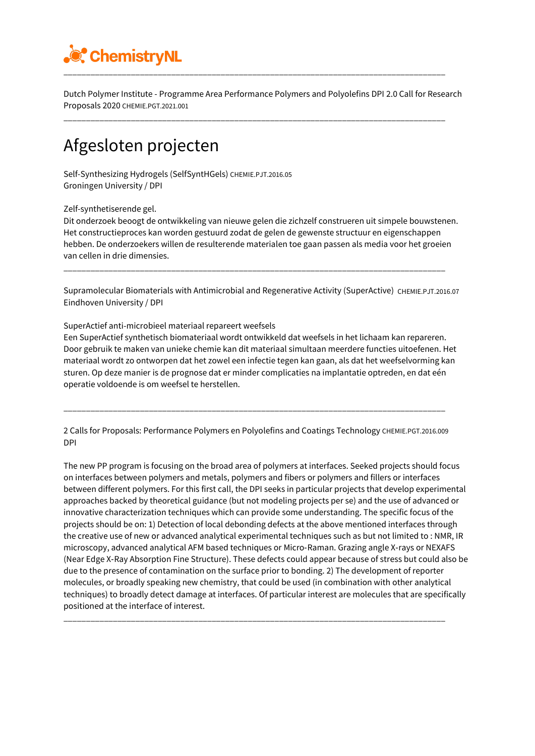

Dutch Polymer Institute - Programme Area Performance Polymers and Polyolefins DPI 2.0 Call for Research Proposals 2020 CHEMIE.PGT.2021.001

\_\_\_\_\_\_\_\_\_\_\_\_\_\_\_\_\_\_\_\_\_\_\_\_\_\_\_\_\_\_\_\_\_\_\_\_\_\_\_\_\_\_\_\_\_\_\_\_\_\_\_\_\_\_\_\_\_\_\_\_\_\_\_\_\_\_\_\_\_\_\_\_\_\_\_\_\_\_\_\_\_\_\_\_\_

### Afgesloten projecten

Self-Synthesizing Hydrogels (SelfSyntHGels) CHEMIE.PJT.2016.05 Groningen University / DPI

Zelf-synthetiserende gel.

Dit onderzoek beoogt de ontwikkeling van nieuwe gelen die zichzelf construeren uit simpele bouwstenen. Het constructieproces kan worden gestuurd zodat de gelen de gewenste structuur en eigenschappen hebben. De onderzoekers willen de resulterende materialen toe gaan passen als media voor het groeien van cellen in drie dimensies.

\_\_\_\_\_\_\_\_\_\_\_\_\_\_\_\_\_\_\_\_\_\_\_\_\_\_\_\_\_\_\_\_\_\_\_\_\_\_\_\_\_\_\_\_\_\_\_\_\_\_\_\_\_\_\_\_\_\_\_\_\_\_\_\_\_\_\_\_\_\_\_\_\_\_\_\_\_\_\_\_\_\_\_\_\_

Supramolecular Biomaterials with Antimicrobial and Regenerative Activity (SuperActive) CHEMIE.PJT.2016.07 Eindhoven University / DPI

SuperActief anti-microbieel materiaal repareert weefsels

Een SuperActief synthetisch biomateriaal wordt ontwikkeld dat weefsels in het lichaam kan repareren. Door gebruik te maken van unieke chemie kan dit materiaal simultaan meerdere functies uitoefenen. Het materiaal wordt zo ontworpen dat het zowel een infectie tegen kan gaan, als dat het weefselvorming kan sturen. Op deze manier is de prognose dat er minder complicaties na implantatie optreden, en dat eén operatie voldoende is om weefsel te herstellen.

2 Calls for Proposals: Performance Polymers en Polyolefins and Coatings Technology CHEMIE.PGT.2016.009 DPI

\_\_\_\_\_\_\_\_\_\_\_\_\_\_\_\_\_\_\_\_\_\_\_\_\_\_\_\_\_\_\_\_\_\_\_\_\_\_\_\_\_\_\_\_\_\_\_\_\_\_\_\_\_\_\_\_\_\_\_\_\_\_\_\_\_\_\_\_\_\_\_\_\_\_\_\_\_\_\_\_\_\_\_\_\_

The new PP program is focusing on the broad area of polymers at interfaces. Seeked projects should focus on interfaces between polymers and metals, polymers and fibers or polymers and fillers or interfaces between different polymers. For this first call, the DPI seeks in particular projects that develop experimental approaches backed by theoretical guidance (but not modeling projects per se) and the use of advanced or innovative characterization techniques which can provide some understanding. The specific focus of the projects should be on: 1) Detection of local debonding defects at the above mentioned interfaces through the creative use of new or advanced analytical experimental techniques such as but not limited to : NMR, IR microscopy, advanced analytical AFM based techniques or Micro‐Raman. Grazing angle X‐rays or NEXAFS (Near Edge X‐Ray Absorption Fine Structure). These defects could appear because of stress but could also be due to the presence of contamination on the surface prior to bonding. 2) The development of reporter molecules, or broadly speaking new chemistry, that could be used (in combination with other analytical techniques) to broadly detect damage at interfaces. Of particular interest are molecules that are specifically positioned at the interface of interest.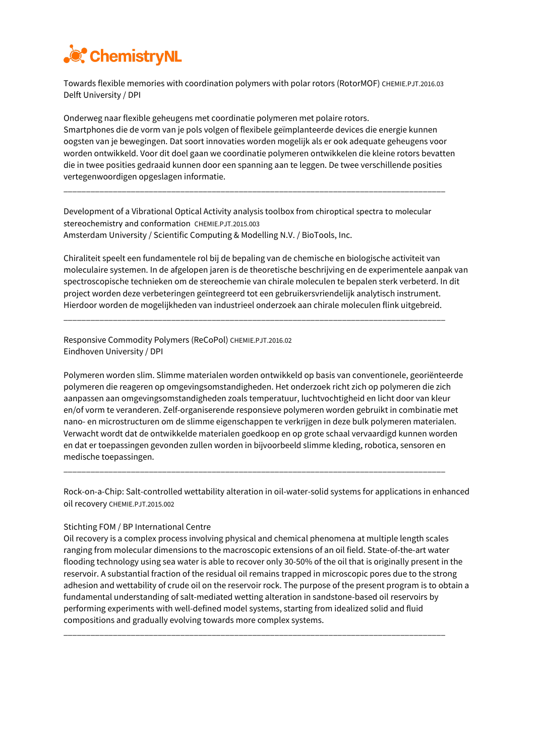

Towards flexible memories with coordination polymers with polar rotors (RotorMOF) CHEMIE.PJT.2016.03 Delft University / DPI

Onderweg naar flexible geheugens met coordinatie polymeren met polaire rotors. Smartphones die de vorm van je pols volgen of flexibele geïmplanteerde devices die energie kunnen oogsten van je bewegingen. Dat soort innovaties worden mogelijk als er ook adequate geheugens voor worden ontwikkeld. Voor dit doel gaan we coordinatie polymeren ontwikkelen die kleine rotors bevatten die in twee posities gedraaid kunnen door een spanning aan te leggen. De twee verschillende posities vertegenwoordigen opgeslagen informatie.

Development of a Vibrational Optical Activity analysis toolbox from chiroptical spectra to molecular stereochemistry and conformation CHEMIE.PJT.2015.003 Amsterdam University / Scientific Computing & Modelling N.V. / BioTools, Inc.

\_\_\_\_\_\_\_\_\_\_\_\_\_\_\_\_\_\_\_\_\_\_\_\_\_\_\_\_\_\_\_\_\_\_\_\_\_\_\_\_\_\_\_\_\_\_\_\_\_\_\_\_\_\_\_\_\_\_\_\_\_\_\_\_\_\_\_\_\_\_\_\_\_\_\_\_\_\_\_\_\_\_\_\_\_

Chiraliteit speelt een fundamentele rol bij de bepaling van de chemische en biologische activiteit van moleculaire systemen. In de afgelopen jaren is de theoretische beschrijving en de experimentele aanpak van spectroscopische technieken om de stereochemie van chirale moleculen te bepalen sterk verbeterd. In dit project worden deze verbeteringen geïntegreerd tot een gebruikersvriendelijk analytisch instrument. Hierdoor worden de mogelijkheden van industrieel onderzoek aan chirale moleculen flink uitgebreid.

\_\_\_\_\_\_\_\_\_\_\_\_\_\_\_\_\_\_\_\_\_\_\_\_\_\_\_\_\_\_\_\_\_\_\_\_\_\_\_\_\_\_\_\_\_\_\_\_\_\_\_\_\_\_\_\_\_\_\_\_\_\_\_\_\_\_\_\_\_\_\_\_\_\_\_\_\_\_\_\_\_\_\_\_\_

Responsive Commodity Polymers (ReCoPol) CHEMIE.PJT.2016.02 Eindhoven University / DPI

Polymeren worden slim. Slimme materialen worden ontwikkeld op basis van conventionele, georiënteerde polymeren die reageren op omgevingsomstandigheden. Het onderzoek richt zich op polymeren die zich aanpassen aan omgevingsomstandigheden zoals temperatuur, luchtvochtigheid en licht door van kleur en/of vorm te veranderen. Zelf-organiserende responsieve polymeren worden gebruikt in combinatie met nano- en microstructuren om de slimme eigenschappen te verkrijgen in deze bulk polymeren materialen. Verwacht wordt dat de ontwikkelde materialen goedkoop en op grote schaal vervaardigd kunnen worden en dat er toepassingen gevonden zullen worden in bijvoorbeeld slimme kleding, robotica, sensoren en medische toepassingen.

Rock-on-a-Chip: Salt-controlled wettability alteration in oil-water-solid systems for applications in enhanced oil recovery CHEMIE.PJT.2015.002

\_\_\_\_\_\_\_\_\_\_\_\_\_\_\_\_\_\_\_\_\_\_\_\_\_\_\_\_\_\_\_\_\_\_\_\_\_\_\_\_\_\_\_\_\_\_\_\_\_\_\_\_\_\_\_\_\_\_\_\_\_\_\_\_\_\_\_\_\_\_\_\_\_\_\_\_\_\_\_\_\_\_\_\_\_

#### Stichting FOM / BP International Centre

Oil recovery is a complex process involving physical and chemical phenomena at multiple length scales ranging from molecular dimensions to the macroscopic extensions of an oil field. State-of-the-art water flooding technology using sea water is able to recover only 30-50% of the oil that is originally present in the reservoir. A substantial fraction of the residual oil remains trapped in microscopic pores due to the strong adhesion and wettability of crude oil on the reservoir rock. The purpose of the present program is to obtain a fundamental understanding of salt-mediated wetting alteration in sandstone-based oil reservoirs by performing experiments with well-defined model systems, starting from idealized solid and fluid compositions and gradually evolving towards more complex systems.